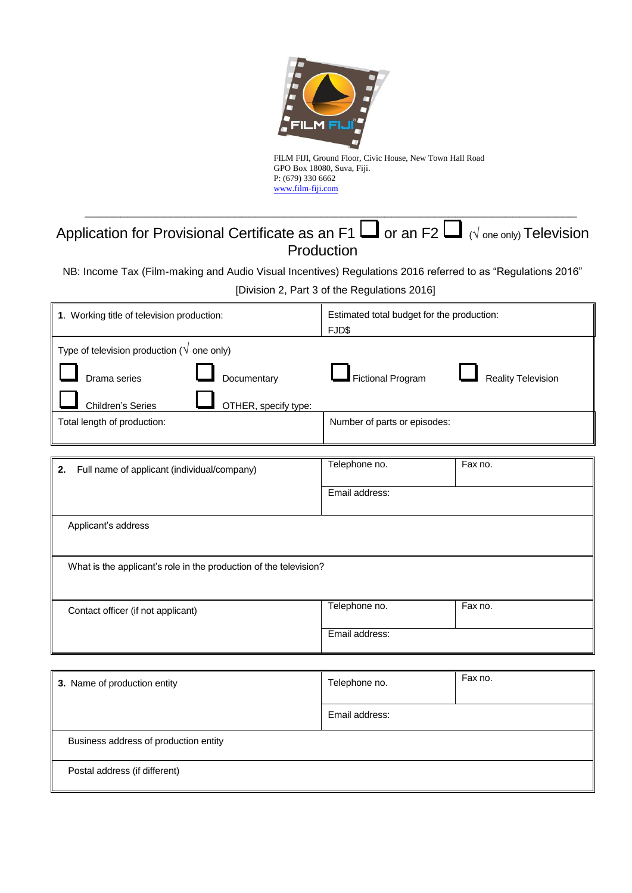

FILM FIJI, Ground Floor, Civic House, New Town Hall Road GPO Box 18080, Suva, Fiji. P: (679) 330 6662 www.film-fiji.com

# Application for Provisional Certificate as an F1  $\Box$  or an F2  $\Box$  ( $\sqrt{ }$  one only) Television Production

\_\_\_\_\_\_\_\_\_\_\_\_\_\_\_\_\_\_\_\_\_\_\_\_\_\_\_\_\_\_\_\_\_\_\_\_\_\_\_\_\_\_\_\_\_\_\_\_\_\_\_\_\_\_\_\_\_\_\_\_\_\_\_\_\_\_\_\_\_

NB: Income Tax (Film-making and Audio Visual Incentives) Regulations 2016 referred to as "Regulations 2016"

[Division 2, Part 3 of the Regulations 2016]

| 1. Working title of television production:                        | Estimated total budget for the production:<br>FJD\$ |                           |  |
|-------------------------------------------------------------------|-----------------------------------------------------|---------------------------|--|
| Type of television production ( $\sqrt{}$ one only)               |                                                     |                           |  |
| Documentary<br>Drama series                                       | Fictional Program                                   | <b>Reality Television</b> |  |
| Children's Series<br>OTHER, specify type:                         |                                                     |                           |  |
| Total length of production:                                       | Number of parts or episodes:                        |                           |  |
|                                                                   |                                                     |                           |  |
| Full name of applicant (individual/company)<br>2.                 | Telephone no.                                       | Fax no.                   |  |
|                                                                   | Email address:                                      |                           |  |
| Applicant's address                                               |                                                     |                           |  |
| What is the applicant's role in the production of the television? |                                                     |                           |  |
| Contact officer (if not applicant)                                | Telephone no.                                       | Fax no.                   |  |
|                                                                   | Email address:                                      |                           |  |
|                                                                   |                                                     |                           |  |
| 3. Name of production entity                                      | Telephone no.                                       | Fax no.                   |  |
|                                                                   | Email address:                                      |                           |  |
| Business address of production entity                             |                                                     |                           |  |
| Postal address (if different)                                     |                                                     |                           |  |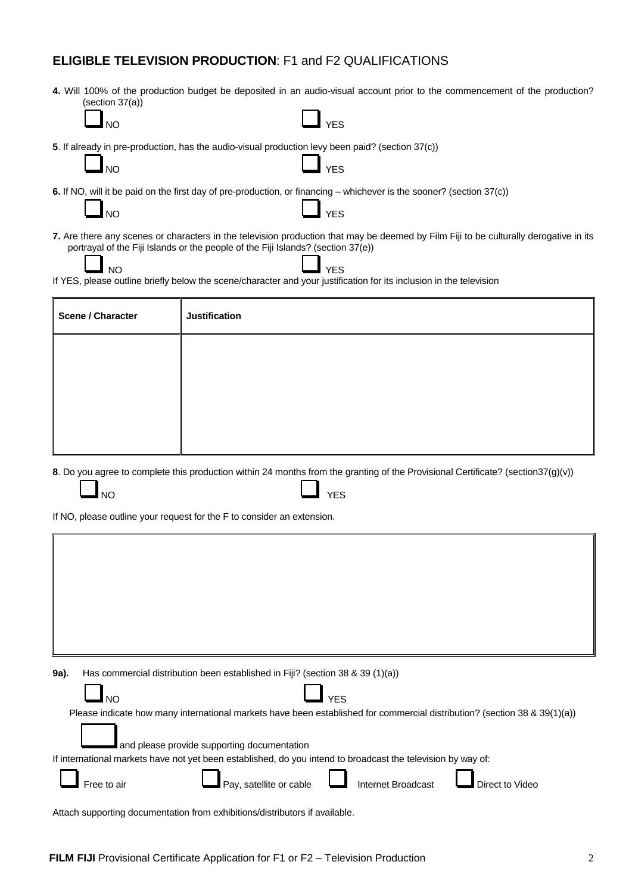#### **ELIGIBLE TELEVISION PRODUCTION**: F1 and F2 QUALIFICATIONS

**4.** Will 100% of the production budget be deposited in an audio-visual account prior to the commencement of the production? (section 37(a))

|                   | $\Box$ YES |
|-------------------|------------|
| $\blacksquare$ NO |            |
|                   |            |

**5**. If already in pre-production, has the audio-visual production levy been paid? (section 37(c))

NO **Leader Contains the Containing Section** Press

**6.** If NO, will it be paid on the first day of pre-production, or financing – whichever is the sooner? (section 37(c))

| $\Box$ NO | $\mathbf{I}$ and $\mathbf{I}$ | <b>YES</b> |  |
|-----------|-------------------------------|------------|--|
|           |                               |            |  |

**7.** Are there any scenes or characters in the television production that may be deemed by Film Fiji to be culturally derogative in its portrayal of the Fiji Islands or the people of the Fiji Islands? (section 37(e))

ľ

NO **Letter the second contract of the second version of the second version in the second version in the second** If YES, please outline briefly below the scene/character and your justification for its inclusion in the television

| <b>Scene / Character</b> | <b>Justification</b> |
|--------------------------|----------------------|
|                          |                      |
|                          |                      |
|                          |                      |

**8**. Do you agree to complete this production within 24 months from the granting of the Provisional Certificate? (section37(g)(v))

If NO, please outline your request for the F to consider an extension.

| 9a).        | Has commercial distribution been established in Fiji? (section 38 & 39 (1)(a))                                            |                    |                 |
|-------------|---------------------------------------------------------------------------------------------------------------------------|--------------------|-----------------|
| <b>NO</b>   |                                                                                                                           | <b>YES</b>         |                 |
|             | Please indicate how many international markets have been established for commercial distribution? (section 38 & 39(1)(a)) |                    |                 |
|             | and please provide supporting documentation                                                                               |                    |                 |
|             | If international markets have not yet been established, do you intend to broadcast the television by way of:              |                    |                 |
|             |                                                                                                                           |                    |                 |
| Free to air | Pay, satellite or cable                                                                                                   | Internet Broadcast | Direct to Video |
|             | Attach supporting documentation from exhibitions/distributors if available.                                               |                    |                 |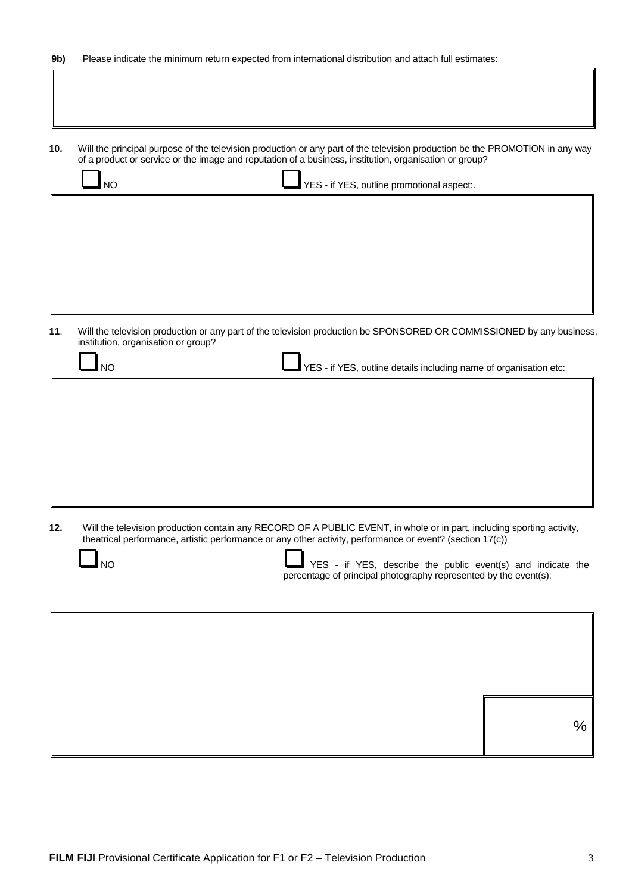| 9b) | Please indicate the minimum return expected from international distribution and attach full estimates: |  |  |  |
|-----|--------------------------------------------------------------------------------------------------------|--|--|--|
|-----|--------------------------------------------------------------------------------------------------------|--|--|--|

**10.** Will the principal purpose of the television production or any part of the television production be the PROMOTION in any way of a product or service or the image and reputation of a business, institution, organisation or group?

| <b>NO</b> | YES - if YES, outline promotional aspect:. |
|-----------|--------------------------------------------|
|           |                                            |
|           |                                            |
|           |                                            |

**11**. Will the television production or any part of the television production be SPONSORED OR COMMISSIONED by any business, institution, organisation or group?

| <b>NO</b> | ■ YES - if YES, outline details including name of organisation etc: |
|-----------|---------------------------------------------------------------------|
|           |                                                                     |
|           |                                                                     |
|           |                                                                     |
|           |                                                                     |
|           |                                                                     |

**12.** Will the television production contain any RECORD OF A PUBLIC EVENT, in whole or in part, including sporting activity, theatrical performance, artistic performance or any other activity, performance or event? (section 17(c))

NO **NO** NO **WES** - if YES, describe the public event(s) and indicate the percentage of principal photography represented by the event(s):

| $\%$ |
|------|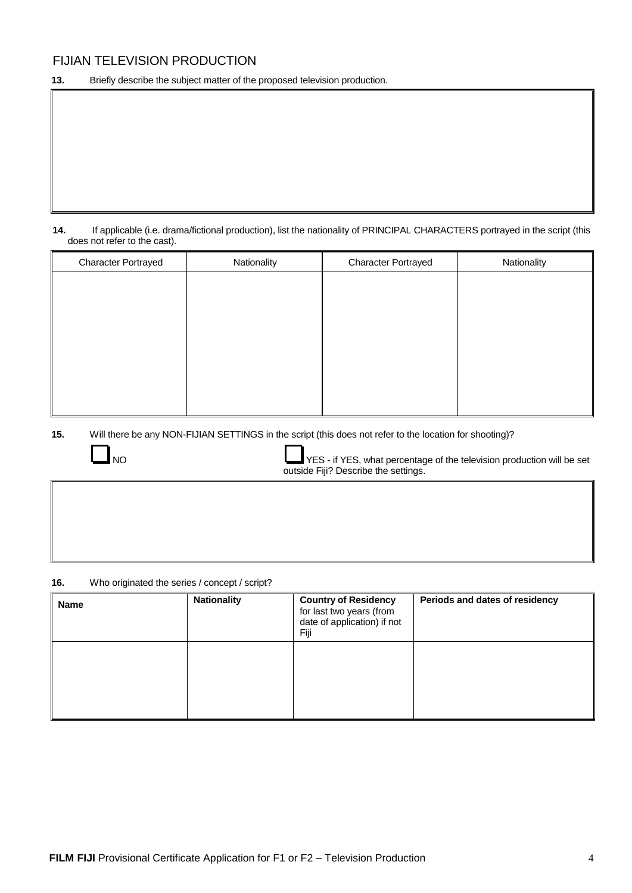#### FIJIAN TELEVISION PRODUCTION

**13.** Briefly describe the subject matter of the proposed television production.

**14.** If applicable (i.e. drama/fictional production), list the nationality of PRINCIPAL CHARACTERS portrayed in the script (this does not refer to the cast).

| <b>Character Portrayed</b> | Nationality | <b>Character Portrayed</b> | Nationality |
|----------------------------|-------------|----------------------------|-------------|
|                            |             |                            |             |
|                            |             |                            |             |
|                            |             |                            |             |
|                            |             |                            |             |
|                            |             |                            |             |
|                            |             |                            |             |
|                            |             |                            |             |
|                            |             |                            |             |

**15.** Will there be any NON-FIJIAN SETTINGS in the script (this does not refer to the location for shooting)?



NO NO RES - if YES, what percentage of the television production will be set outside Fiji? Describe the settings.

**16.** Who originated the series / concept / script?

| <b>Name</b> | <b>Nationality</b> | <b>Country of Residency</b><br>for last two years (from<br>date of application) if not<br>Fiji | Periods and dates of residency |
|-------------|--------------------|------------------------------------------------------------------------------------------------|--------------------------------|
|             |                    |                                                                                                |                                |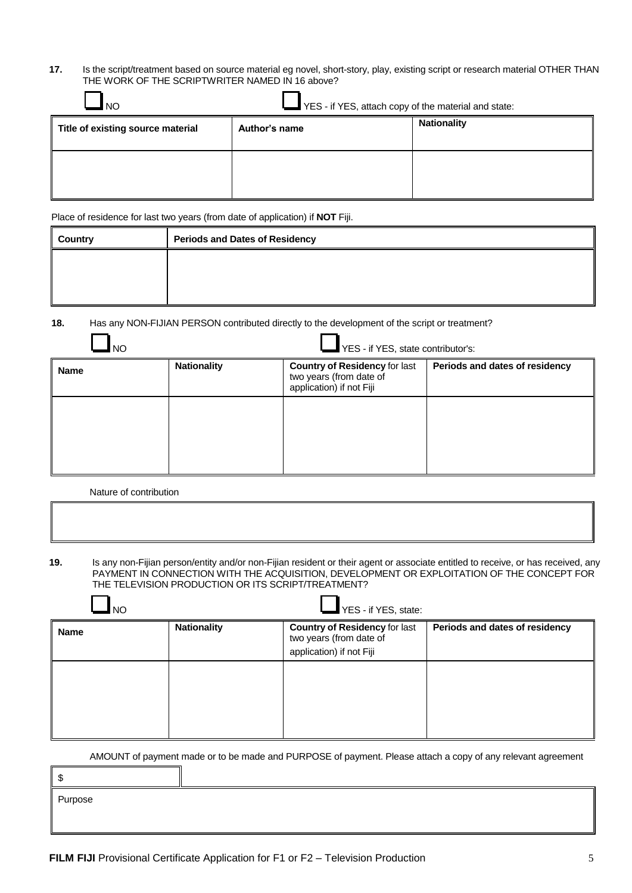**17.** Is the script/treatment based on source material eg novel, short-story, play, existing script or research material OTHER THAN THE WORK OF THE SCRIPTWRITER NAMED IN 16 above?

| <b>NO</b>                         | YES - if YES, attach copy of the material and state: |                    |
|-----------------------------------|------------------------------------------------------|--------------------|
| Title of existing source material | Author's name                                        | <b>Nationality</b> |
|                                   |                                                      |                    |
|                                   |                                                      |                    |

Place of residence for last two years (from date of application) if **NOT** Fiji.

| Country | <b>Periods and Dates of Residency</b> |  |
|---------|---------------------------------------|--|
|         |                                       |  |
|         |                                       |  |
|         |                                       |  |

 $\mathbf{r}$ 

**18.** Has any NON-FIJIAN PERSON contributed directly to the development of the script or treatment?

| NO   |                                                                                                                                                     | $\blacksquare$ YES - if YES, state contributor's: |  |
|------|-----------------------------------------------------------------------------------------------------------------------------------------------------|---------------------------------------------------|--|
| Name | <b>Nationality</b><br><b>Country of Residency for last</b><br>Periods and dates of residency<br>two years (from date of<br>application) if not Fiji |                                                   |  |
|      |                                                                                                                                                     |                                                   |  |

Nature of contribution

 $\blacksquare$ ÷.

**19.** Is any non-Fijian person/entity and/or non-Fijian resident or their agent or associate entitled to receive, or has received, any PAYMENT IN CONNECTION WITH THE ACQUISITION, DEVELOPMENT OR EXPLOITATION OF THE CONCEPT FOR THE TELEVISION PRODUCTION OR ITS SCRIPT/TREATMENT?

| NO          |                    | $\blacksquare$ YES - if YES, state:                                                         |                                |
|-------------|--------------------|---------------------------------------------------------------------------------------------|--------------------------------|
| <b>Name</b> | <b>Nationality</b> | <b>Country of Residency for last</b><br>two years (from date of<br>application) if not Fiji | Periods and dates of residency |
|             |                    |                                                                                             |                                |

AMOUNT of payment made or to be made and PURPOSE of payment. Please attach a copy of any relevant agreement

| \$      |  |
|---------|--|
| Purpose |  |
|         |  |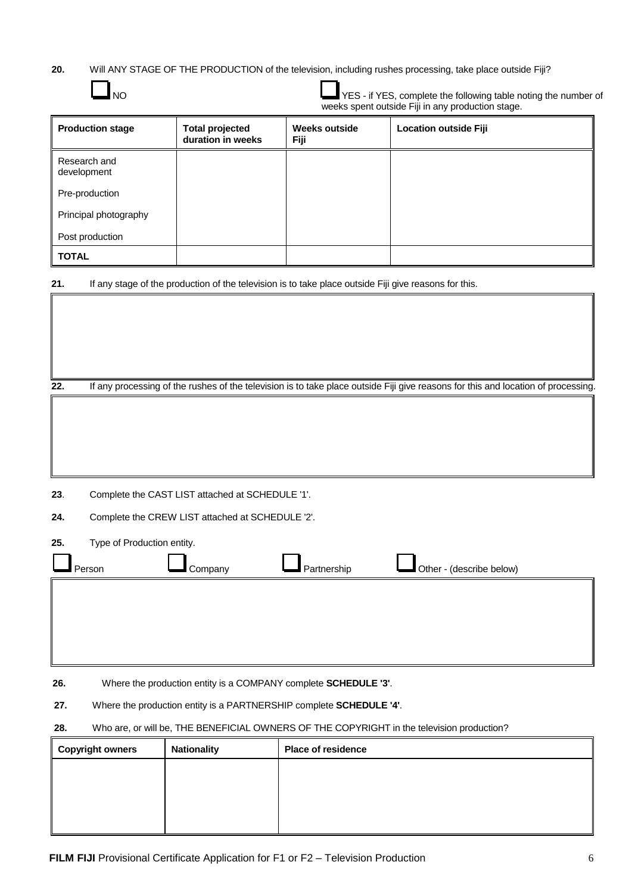**20.** Will ANY STAGE OF THE PRODUCTION of the television, including rushes processing, take place outside Fiji?

| NO                                | YES - if YES, complete the following table noting the number of<br>weeks spent outside Fiji in any production stage. |                              |                                                                                                                                   |
|-----------------------------------|----------------------------------------------------------------------------------------------------------------------|------------------------------|-----------------------------------------------------------------------------------------------------------------------------------|
| <b>Production stage</b>           | <b>Total projected</b><br>duration in weeks                                                                          | <b>Weeks outside</b><br>Fiji | <b>Location outside Fiji</b>                                                                                                      |
| Research and<br>development       |                                                                                                                      |                              |                                                                                                                                   |
| Pre-production                    |                                                                                                                      |                              |                                                                                                                                   |
| Principal photography             |                                                                                                                      |                              |                                                                                                                                   |
| Post production                   |                                                                                                                      |                              |                                                                                                                                   |
| <b>TOTAL</b>                      |                                                                                                                      |                              |                                                                                                                                   |
| 21.                               | If any stage of the production of the television is to take place outside Fiji give reasons for this.                |                              |                                                                                                                                   |
|                                   |                                                                                                                      |                              |                                                                                                                                   |
|                                   |                                                                                                                      |                              |                                                                                                                                   |
|                                   |                                                                                                                      |                              |                                                                                                                                   |
| 22.                               |                                                                                                                      |                              | If any processing of the rushes of the television is to take place outside Fiji give reasons for this and location of processing. |
|                                   |                                                                                                                      |                              |                                                                                                                                   |
|                                   |                                                                                                                      |                              |                                                                                                                                   |
|                                   |                                                                                                                      |                              |                                                                                                                                   |
|                                   |                                                                                                                      |                              |                                                                                                                                   |
| 23.                               | Complete the CAST LIST attached at SCHEDULE '1'.                                                                     |                              |                                                                                                                                   |
| 24.                               | Complete the CREW LIST attached at SCHEDULE '2'.                                                                     |                              |                                                                                                                                   |
| Type of Production entity.<br>25. |                                                                                                                      |                              |                                                                                                                                   |
| Person                            | Company                                                                                                              | Partnership                  | Other - (describe below)                                                                                                          |

**26.** Where the production entity is a COMPANY complete **SCHEDULE '3'**.

**27.** Where the production entity is a PARTNERSHIP complete **SCHEDULE '4'**.

#### **28.** Who are, or will be, THE BENEFICIAL OWNERS OF THE COPYRIGHT in the television production?

| Copyright owners | <b>Nationality</b> | <b>Place of residence</b> |
|------------------|--------------------|---------------------------|
|                  |                    |                           |
|                  |                    |                           |
|                  |                    |                           |
|                  |                    |                           |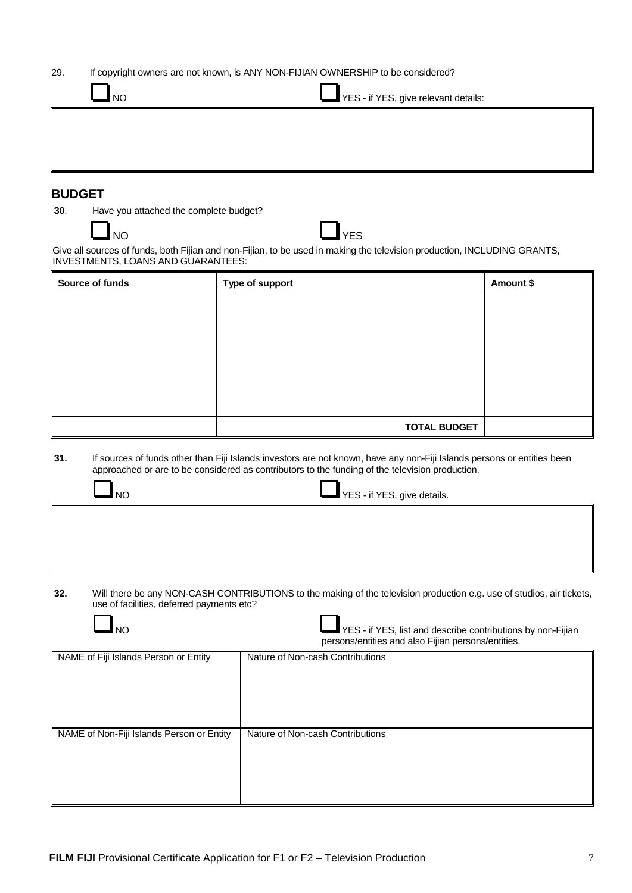| 29. | If copyright owners are not known, is ANY NON-FIJIAN OWNERSHIP to be considered? |
|-----|----------------------------------------------------------------------------------|
|-----|----------------------------------------------------------------------------------|

| <b>NO</b> | YES - if YES, give relevant details: |
|-----------|--------------------------------------|
|           |                                      |
|           |                                      |

#### **BUDGET**

**30**. Have you attached the complete budget?

NO LAND DESCRIPTION OF THE VEST OF THE VEST OF THE VEST OF THE VEST OF THE VEST OF THE VEST OF THE VEST OF THE

Give all sources of funds, both Fijian and non-Fijian, to be used in making the television production, INCLUDING GRANTS, INVESTMENTS, LOANS AND GUARANTEES:

| Source of funds | Type of support     | Amount \$ |
|-----------------|---------------------|-----------|
|                 |                     |           |
|                 |                     |           |
|                 |                     |           |
|                 |                     |           |
|                 |                     |           |
|                 |                     |           |
|                 | <b>TOTAL BUDGET</b> |           |

**31.** If sources of funds other than Fiji Islands investors are not known, have any non-Fiji Islands persons or entities been approached or are to be considered as contributors to the funding of the television production.

| NO <sub>1</sub> | YES - if YES, give details. |
|-----------------|-----------------------------|
|                 |                             |

**32.** Will there be any NON-CASH CONTRIBUTIONS to the making of the television production e.g. use of studios, air tickets, use of facilities, deferred payments etc?

| NΩ                                    | YES - if YES, list and describe contributions by non-Fijian<br>persons/entities and also Fijian persons/entities. |
|---------------------------------------|-------------------------------------------------------------------------------------------------------------------|
| NAME of Fiji Islands Person or Entity | Nature of Non-cash Contributions                                                                                  |

| NAME of Non-Fiji Islands Person or Entity | Nature of Non-cash Contributions |
|-------------------------------------------|----------------------------------|
|                                           |                                  |
|                                           |                                  |
|                                           |                                  |
|                                           |                                  |
|                                           |                                  |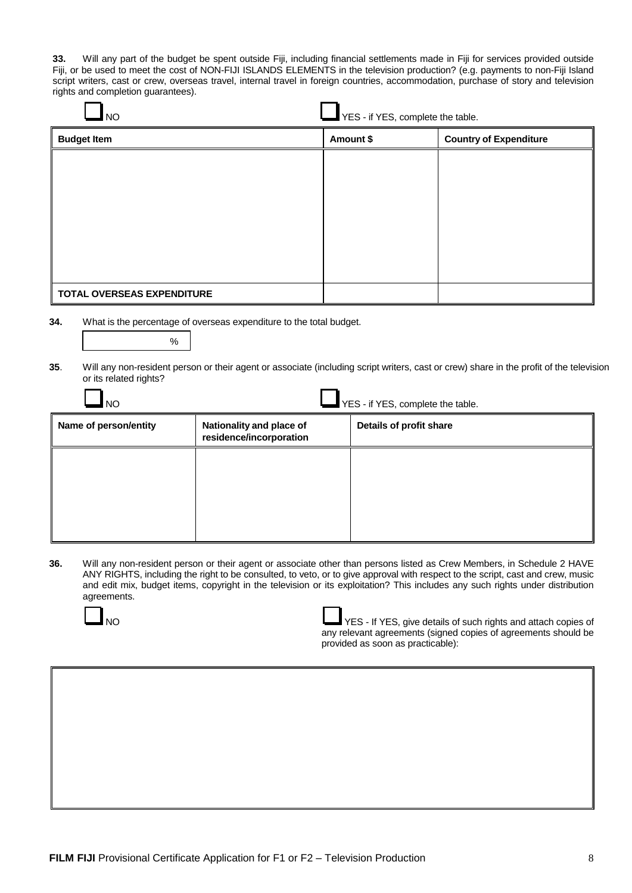**33.** Will any part of the budget be spent outside Fiji, including financial settlements made in Fiji for services provided outside Fiji, or be used to meet the cost of NON-FIJI ISLANDS ELEMENTS in the television production? (e.g. payments to non-Fiji Island script writers, cast or crew, overseas travel, internal travel in foreign countries, accommodation, purchase of story and television rights and completion guarantees).

| $\Box$ NO | $\Box$ YES - if YES, complete the table. |
|-----------|------------------------------------------|

| <b>Budget Item</b>         | Amount \$ | <b>Country of Expenditure</b> |
|----------------------------|-----------|-------------------------------|
|                            |           |                               |
|                            |           |                               |
|                            |           |                               |
|                            |           |                               |
|                            |           |                               |
|                            |           |                               |
| TOTAL OVERSEAS EXPENDITURE |           |                               |

**34.** What is the percentage of overseas expenditure to the total budget.

|--|

**35**. Will any non-resident person or their agent or associate (including script writers, cast or crew) share in the profit of the television or its related rights?

| <b>NO</b>             | YES - if YES, complete the table.                   |                         |  |
|-----------------------|-----------------------------------------------------|-------------------------|--|
| Name of person/entity | Nationality and place of<br>residence/incorporation | Details of profit share |  |
|                       |                                                     |                         |  |
|                       |                                                     |                         |  |
|                       |                                                     |                         |  |

**36.** Will any non-resident person or their agent or associate other than persons listed as Crew Members, in Schedule 2 HAVE ANY RIGHTS, including the right to be consulted, to veto, or to give approval with respect to the script, cast and crew, music and edit mix, budget items, copyright in the television or its exploitation? This includes any such rights under distribution agreements.



Ŧ. г

| NΟ | YES - If YES, give details of such rights and attach copies of |
|----|----------------------------------------------------------------|
|    | any relevant agreements (signed copies of agreements should be |
|    | provided as soon as practicable):                              |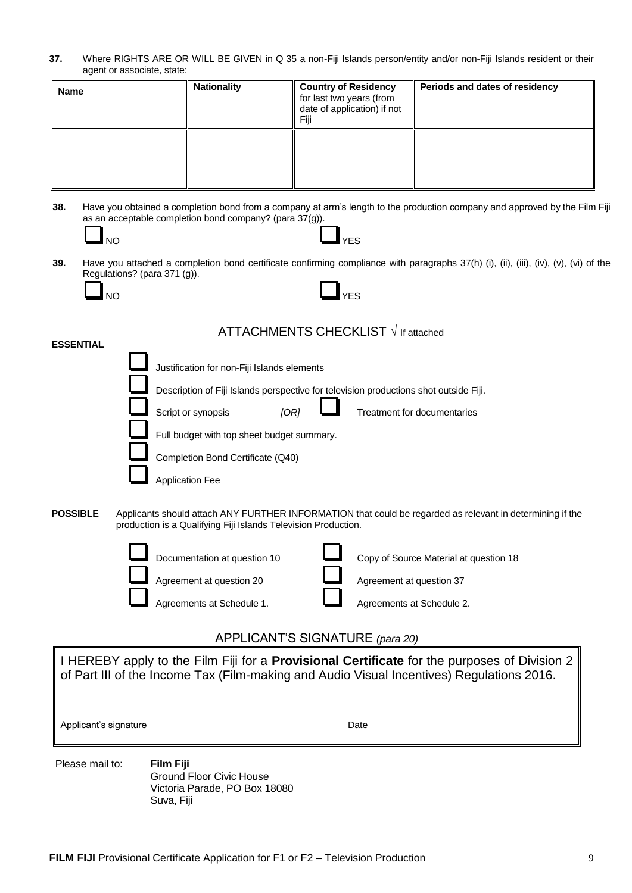**37.** Where RIGHTS ARE OR WILL BE GIVEN in Q 35 a non-Fiji Islands person/entity and/or non-Fiji Islands resident or their agent or associate, state:

| <b>Name</b> | <b>Nationality</b> | <b>Country of Residency</b><br>for last two years (from<br>date of application) if not<br>Fiii | Periods and dates of residency |
|-------------|--------------------|------------------------------------------------------------------------------------------------|--------------------------------|
|             |                    |                                                                                                |                                |

**38.** Have you obtained a completion bond from a company at arm's length to the production company and approved by the Film Fiji as an acceptable completion bond company? (para 37(g)).

- NO WEST WAS CONSUMED TO A VEST OF A SERIES OF A VEST OF A SERIES OF A VEST OF A SERIES OF A VEST OF A SERIES OF A VEST OF A VEST OF A VEST OF A VEST OF A VEST OF A VEST OF A VEST OF A VEST OF A VEST OF A VEST OF A VEST OF
- **39.** Have you attached a completion bond certificate confirming compliance with paragraphs 37(h) (i), (ii), (iii), (iv), (v), (vi) of the Regulations? (para 371 (g)).

| NΟ |  | $\Box$ YES |
|----|--|------------|
|    |  |            |

#### ATTACHMENTS CHECKLIST **√** If attached

Justification for non-Fiji Islands elements

Description of Fiji Islands perspective for television productions shot outside Fiji.

Script or synopsis *[OR]* Treatment for documentaries

Full budget with top sheet budget summary.

Completion Bond Certificate (Q40)

Application Fee

**POSSIBLE** Applicants should attach ANY FURTHER INFORMATION that could be regarded as relevant in determining if the production is a Qualifying Fiji Islands Television Production.



Documentation at question 10 **Leapene** Copy of Source Material at question 18 Agreement at question 20 **Agreement at question 37** Agreements at Schedule 1. Agreements at Schedule 2.

#### APPLICANT'S SIGNATURE *(para 20)*

I HEREBY apply to the Film Fiji for a **Provisional Certificate** for the purposes of Division 2 of Part III of the Income Tax (Film-making and Audio Visual Incentives) Regulations 2016.

Applicant's signature Date

Please mail to: **Film Fiji** Ground Floor Civic House Victoria Parade, PO Box 18080 Suva, Fiji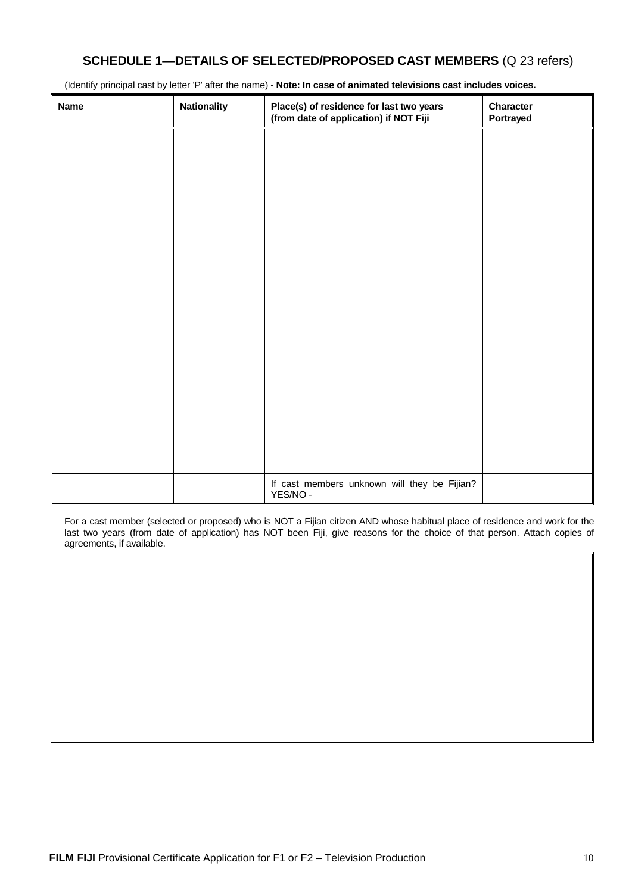### **SCHEDULE 1—DETAILS OF SELECTED/PROPOSED CAST MEMBERS** (Q 23 refers)

(Identify principal cast by letter 'P' after the name) - **Note: In case of animated televisions cast includes voices.**

| <b>Name</b> | <b>Nationality</b> | Place(s) of residence for last two years<br>(from date of application) if NOT Fiji | Character<br>Portrayed |
|-------------|--------------------|------------------------------------------------------------------------------------|------------------------|
|             |                    |                                                                                    |                        |
|             |                    |                                                                                    |                        |
|             |                    |                                                                                    |                        |
|             |                    |                                                                                    |                        |
|             |                    |                                                                                    |                        |
|             |                    |                                                                                    |                        |
|             |                    |                                                                                    |                        |
|             |                    |                                                                                    |                        |
|             |                    |                                                                                    |                        |
|             |                    |                                                                                    |                        |
|             |                    |                                                                                    |                        |
|             |                    | If cast members unknown will they be Fijian?<br>YES/NO -                           |                        |

For a cast member (selected or proposed) who is NOT a Fijian citizen AND whose habitual place of residence and work for the last two years (from date of application) has NOT been Fiji, give reasons for the choice of that person. Attach copies of agreements, if available.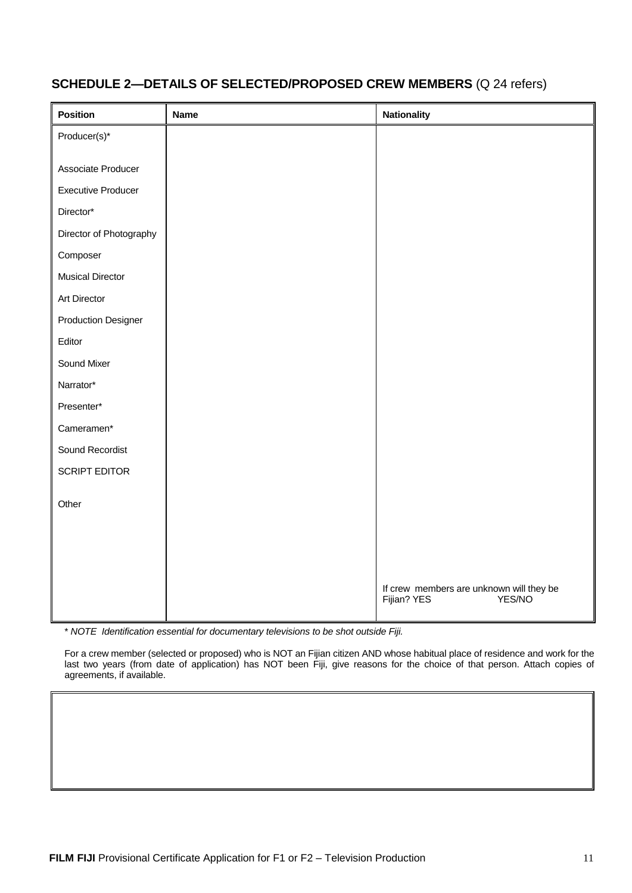| Position                   | <b>Name</b> | <b>Nationality</b>                                                 |
|----------------------------|-------------|--------------------------------------------------------------------|
| Producer(s)*               |             |                                                                    |
|                            |             |                                                                    |
| Associate Producer         |             |                                                                    |
| <b>Executive Producer</b>  |             |                                                                    |
| Director*                  |             |                                                                    |
| Director of Photography    |             |                                                                    |
| Composer                   |             |                                                                    |
| <b>Musical Director</b>    |             |                                                                    |
| Art Director               |             |                                                                    |
| <b>Production Designer</b> |             |                                                                    |
| Editor                     |             |                                                                    |
| Sound Mixer                |             |                                                                    |
| Narrator*                  |             |                                                                    |
| Presenter*                 |             |                                                                    |
| Cameramen*                 |             |                                                                    |
| Sound Recordist            |             |                                                                    |
| <b>SCRIPT EDITOR</b>       |             |                                                                    |
|                            |             |                                                                    |
| Other                      |             |                                                                    |
|                            |             |                                                                    |
|                            |             |                                                                    |
|                            |             |                                                                    |
|                            |             | If crew members are unknown will they be<br>Fijian? YES YES YES/NO |

## **SCHEDULE 2—DETAILS OF SELECTED/PROPOSED CREW MEMBERS** (Q 24 refers)

\* *NOTE Identification essential for documentary televisions to be shot outside Fiji.*

For a crew member (selected or proposed) who is NOT an Fijian citizen AND whose habitual place of residence and work for the last two years (from date of application) has NOT been Fiji, give reasons for the choice of that person. Attach copies of agreements, if available.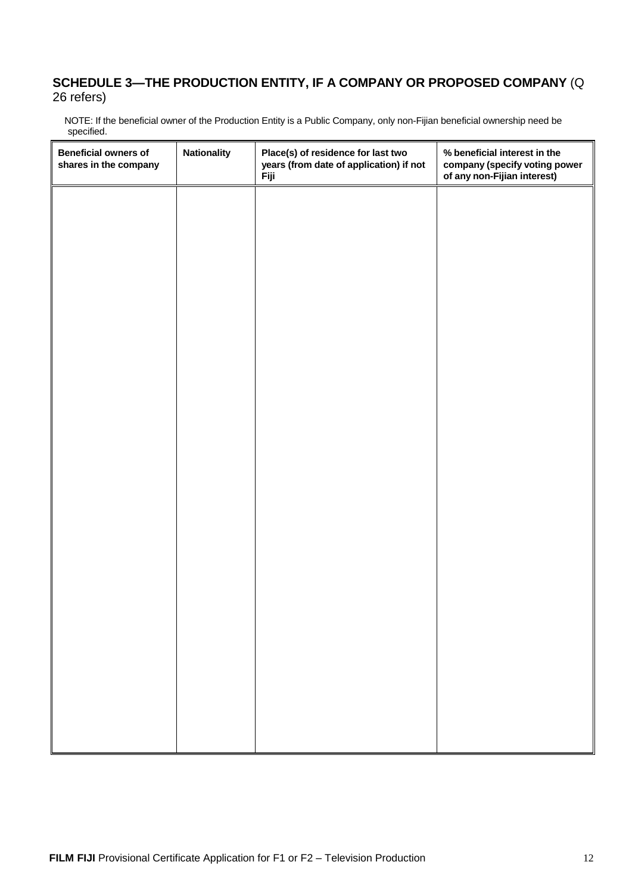#### **SCHEDULE 3—THE PRODUCTION ENTITY, IF A COMPANY OR PROPOSED COMPANY** (Q 26 refers)

 NOTE: If the beneficial owner of the Production Entity is a Public Company, only non-Fijian beneficial ownership need be specified.

| <b>Beneficial owners of</b><br>shares in the company | <b>Nationality</b> | Place(s) of residence for last two<br>years (from date of application) if not<br><b>Fiji</b> | % beneficial interest in the<br>company (specify voting power<br>of any non-Fijian interest) |
|------------------------------------------------------|--------------------|----------------------------------------------------------------------------------------------|----------------------------------------------------------------------------------------------|
|                                                      |                    |                                                                                              |                                                                                              |
|                                                      |                    |                                                                                              |                                                                                              |
|                                                      |                    |                                                                                              |                                                                                              |
|                                                      |                    |                                                                                              |                                                                                              |
|                                                      |                    |                                                                                              |                                                                                              |
|                                                      |                    |                                                                                              |                                                                                              |
|                                                      |                    |                                                                                              |                                                                                              |
|                                                      |                    |                                                                                              |                                                                                              |
|                                                      |                    |                                                                                              |                                                                                              |
|                                                      |                    |                                                                                              |                                                                                              |
|                                                      |                    |                                                                                              |                                                                                              |
|                                                      |                    |                                                                                              |                                                                                              |
|                                                      |                    |                                                                                              |                                                                                              |
|                                                      |                    |                                                                                              |                                                                                              |